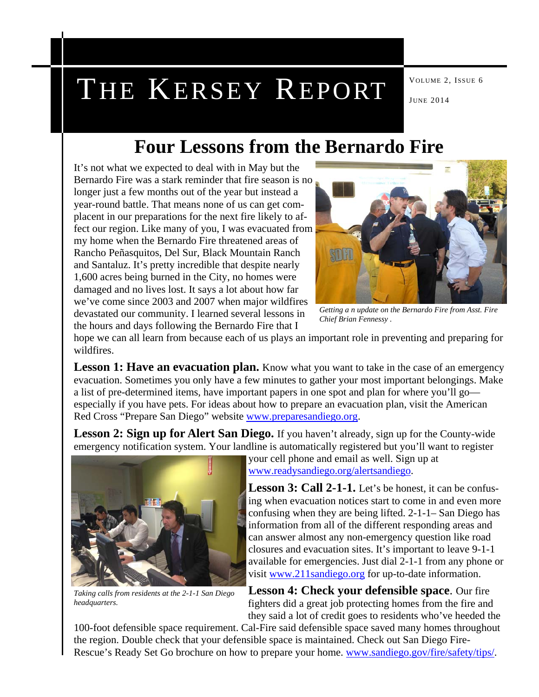# THE KERSEY REPORT  $\int_{JUNE 2014}^{VOLUME 2, ISSUE 6}$

## **Four Lessons from the Bernardo Fire**

It's not what we expected to deal with in May but the Bernardo Fire was a stark reminder that fire season is no longer just a few months out of the year but instead a year-round battle. That means none of us can get complacent in our preparations for the next fire likely to affect our region. Like many of you, I was evacuated from my home when the Bernardo Fire threatened areas of Rancho Peñasquitos, Del Sur, Black Mountain Ranch and Santaluz. It's pretty incredible that despite nearly 1,600 acres being burned in the City, no homes were damaged and no lives lost. It says a lot about how far we've come since 2003 and 2007 when major wildfires devastated our community. I learned several lessons in the hours and days following the Bernardo Fire that I



*Getting a n update on the Bernardo Fire from Asst. Fire Chief Brian Fennessy .* 

hope we can all learn from because each of us plays an important role in preventing and preparing for wildfires.

**Lesson 1: Have an evacuation plan.** Know what you want to take in the case of an emergency evacuation. Sometimes you only have a few minutes to gather your most important belongings. Make a list of pre-determined items, have important papers in one spot and plan for where you'll go especially if you have pets. For ideas about how to prepare an evacuation plan, visit the American Red Cross "Prepare San Diego" website www.preparesandiego.org.

**Lesson 2: Sign up for Alert San Diego.** If you haven't already, sign up for the County-wide emergency notification system. Your landline is automatically registered but you'll want to register



*Taking calls from residents at the 2-1-1 San Diego headquarters.* 

your cell phone and email as well. Sign up at www.readysandiego.org/alertsandiego.

**Lesson 3: Call 2-1-1.** Let's be honest, it can be confusing when evacuation notices start to come in and even more confusing when they are being lifted. 2-1-1– San Diego has information from all of the different responding areas and can answer almost any non-emergency question like road closures and evacuation sites. It's important to leave 9-1-1 available for emergencies. Just dial 2-1-1 from any phone or visit www.211sandiego.org for up-to-date information.

**Lesson 4: Check your defensible space**. Our fire fighters did a great job protecting homes from the fire and they said a lot of credit goes to residents who've heeded the

100-foot defensible space requirement. Cal-Fire said defensible space saved many homes throughout the region. Double check that your defensible space is maintained. Check out San Diego Fire-Rescue's Ready Set Go brochure on how to prepare your home. www.sandiego.gov/fire/safety/tips/.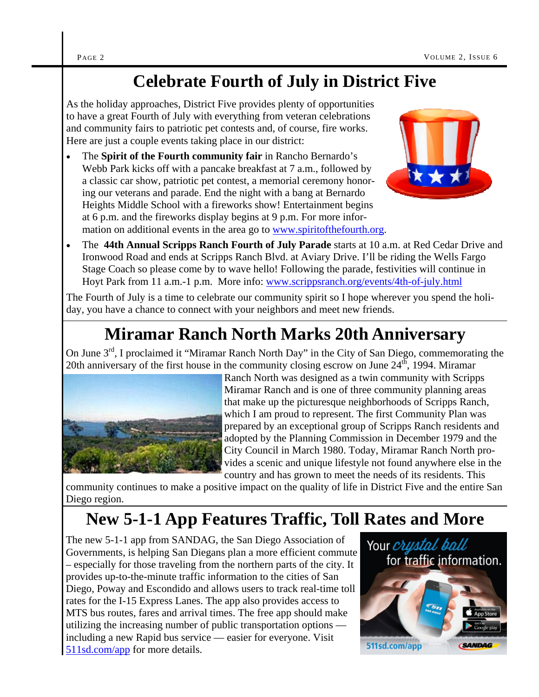## **Celebrate Fourth of July in District Five**

As the holiday approaches, District Five provides plenty of opportunities to have a great Fourth of July with everything from veteran celebrations and community fairs to patriotic pet contests and, of course, fire works. Here are just a couple events taking place in our district:

 The **Spirit of the Fourth community fair** in Rancho Bernardo's Webb Park kicks off with a pancake breakfast at 7 a.m., followed by a classic car show, patriotic pet contest, a memorial ceremony honoring our veterans and parade. End the night with a bang at Bernardo Heights Middle School with a fireworks show! Entertainment begins at 6 p.m. and the fireworks display begins at 9 p.m. For more information on additional events in the area go to www.spiritofthefourth.org.



 The **44th Annual Scripps Ranch Fourth of July Parade** starts at 10 a.m. at Red Cedar Drive and Ironwood Road and ends at Scripps Ranch Blvd. at Aviary Drive. I'll be riding the Wells Fargo Stage Coach so please come by to wave hello! Following the parade, festivities will continue in Hoyt Park from 11 a.m.-1 p.m. More info: www.scrippsranch.org/events/4th-of-july.html

The Fourth of July is a time to celebrate our community spirit so I hope wherever you spend the holiday, you have a chance to connect with your neighbors and meet new friends.

# **Miramar Ranch North Marks 20th Anniversary**

On June 3<sup>rd</sup>, I proclaimed it "Miramar Ranch North Day" in the City of San Diego, commemorating the 20th anniversary of the first house in the community closing escrow on June  $24<sup>th</sup>$ , 1994. Miramar



Ranch North was designed as a twin community with Scripps Miramar Ranch and is one of three community planning areas that make up the picturesque neighborhoods of Scripps Ranch, which I am proud to represent. The first Community Plan was prepared by an exceptional group of Scripps Ranch residents and adopted by the Planning Commission in December 1979 and the City Council in March 1980. Today, Miramar Ranch North provides a scenic and unique lifestyle not found anywhere else in the country and has grown to meet the needs of its residents. This

community continues to make a positive impact on the quality of life in District Five and the entire San Diego region.

# **New 5-1-1 App Features Traffic, Toll Rates and More**

The new 5-1-1 app from SANDAG, the San Diego Association of Governments, is helping San Diegans plan a more efficient commute – especially for those traveling from the northern parts of the city. It provides up-to-the-minute traffic information to the cities of San Diego, Poway and Escondido and allows users to track real-time toll rates for the I-15 Express Lanes. The app also provides access to MTS bus routes, fares and arrival times. The free app should make utilizing the increasing number of public transportation options including a new Rapid bus service — easier for everyone. Visit 511sd.com/app for more details.

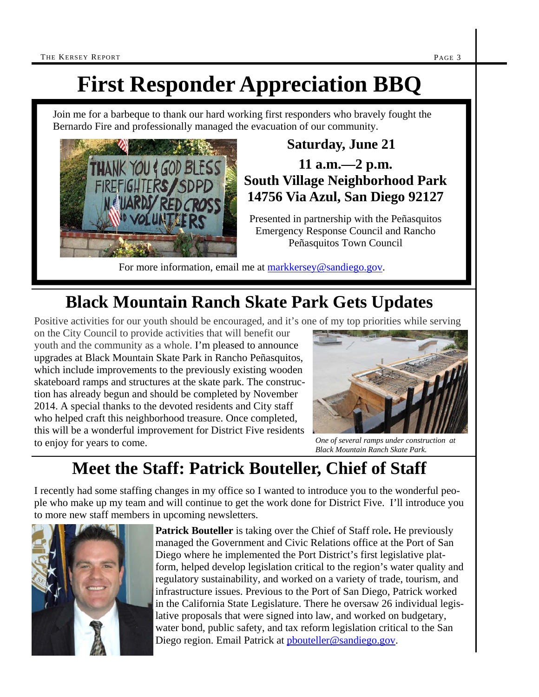# **First Responder Appreciation BBQ**

Join me for a barbeque to thank our hard working first responders who bravely fought the Bernardo Fire and professionally managed the evacuation of our community.



#### **Saturday, June 21**

**11 a.m.—2 p.m. South Village Neighborhood Park 14756 Via Azul, San Diego 92127** 

Presented in partnership with the Peñasquitos Emergency Response Council and Rancho Peñasquitos Town Council

For more information, email me at markkersey@sandiego.gov.

# **Black Mountain Ranch Skate Park Gets Updates**

Positive activities for our youth should be encouraged, and it's one of my top priorities while serving

on the City Council to provide activities that will benefit our youth and the community as a whole. I'm pleased to announce upgrades at Black Mountain Skate Park in Rancho Peñasquitos, which include improvements to the previously existing wooden skateboard ramps and structures at the skate park. The construction has already begun and should be completed by November 2014. A special thanks to the devoted residents and City staff who helped craft this neighborhood treasure. Once completed, this will be a wonderful improvement for District Five residents to enjoy for years to come.



*One of several ramps under construction at Black Mountain Ranch Skate Park.* 

## **Meet the Staff: Patrick Bouteller, Chief of Staff**

I recently had some staffing changes in my office so I wanted to introduce you to the wonderful people who make up my team and will continue to get the work done for District Five. I'll introduce you to more new staff members in upcoming newsletters.



**Patrick Bouteller** is taking over the Chief of Staff role**.** He previously managed the Government and Civic Relations office at the Port of San Diego where he implemented the Port District's first legislative platform, helped develop legislation critical to the region's water quality and regulatory sustainability, and worked on a variety of trade, tourism, and infrastructure issues. Previous to the Port of San Diego, Patrick worked in the California State Legislature. There he oversaw 26 individual legislative proposals that were signed into law, and worked on budgetary, water bond, public safety, and tax reform legislation critical to the San Diego region. Email Patrick at pbouteller@sandiego.gov.